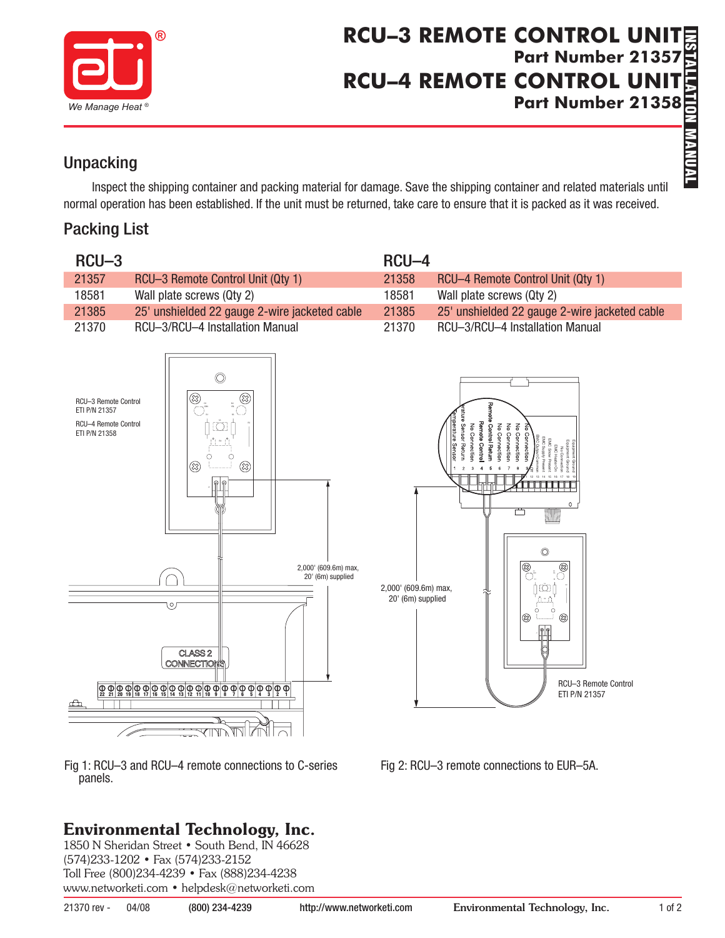

# **INSTALLATION MANUAL RCU–3 REMOTE CONTROL UNIT Part Number 21357 RCU–4 REMOTE CONTROL UNIT** Part Number 21358<br> **Part 21358**<br>
<br>
Part of the contract of the contract of the contract of the contract of the contract of the contract of the contract of the contract of the contract of the contract of the contract of the

## **Unpacking**

Inspect the shipping container and packing material for damage. Save the shipping container and related materials until normal operation has been established. If the unit must be returned, take care to ensure that it is packed as it was received.

## Packing List

| $RCU-3$                                                                                                                                                                                                              | RCU-4                                                                                                                                                                                                                                                                                                                                                                                                                        |
|----------------------------------------------------------------------------------------------------------------------------------------------------------------------------------------------------------------------|------------------------------------------------------------------------------------------------------------------------------------------------------------------------------------------------------------------------------------------------------------------------------------------------------------------------------------------------------------------------------------------------------------------------------|
| 21357                                                                                                                                                                                                                | 21358                                                                                                                                                                                                                                                                                                                                                                                                                        |
| RCU-3 Remote Control Unit (Qty 1)                                                                                                                                                                                    | RCU-4 Remote Control Unit (Qty 1)                                                                                                                                                                                                                                                                                                                                                                                            |
| 18581                                                                                                                                                                                                                | 18581                                                                                                                                                                                                                                                                                                                                                                                                                        |
| Wall plate screws (Qty 2)                                                                                                                                                                                            | Wall plate screws (Qty 2)                                                                                                                                                                                                                                                                                                                                                                                                    |
| 25' unshielded 22 gauge 2-wire jacketed cable                                                                                                                                                                        | 25' unshielded 22 gauge 2-wire jacketed cable                                                                                                                                                                                                                                                                                                                                                                                |
| 21385                                                                                                                                                                                                                | 21385                                                                                                                                                                                                                                                                                                                                                                                                                        |
| 21370                                                                                                                                                                                                                | 21370                                                                                                                                                                                                                                                                                                                                                                                                                        |
| RCU-3/RCU-4 Installation Manual                                                                                                                                                                                      | RCU-3/RCU-4 Installation Manual                                                                                                                                                                                                                                                                                                                                                                                              |
| $\circledcirc$<br>⊗<br>೧.<br>RCU-3 Remote Control<br>ETI P/N 21357<br><b>RCU-4 Remote Control</b><br>ETI P/N 21358<br>⊗<br>⊗<br>2,000' (609.6m) max,<br>20' (6m) supplied<br>Oſ<br>CLASS <sub>2</sub><br>CONNECTIONS | Remote Contro<br><b>Control Return</b><br>No Connectio<br>Sensor Return<br>No Connectio<br>No Connect<br>No Connection<br>erature Senso<br>Connection<br>$\mathbf{0}$<br>O<br>$\begin{array}{c} \boxed{\textcircled{\tiny{\textcircled{\tiny{R}}}}}\\ \textcircled{\tiny{\textcircled{\tiny{R}}}} \end{array}$<br>2,000' (609.6m) max,<br>∏ [Ö]  <br>20' (6m) supplied<br>⊗<br>(23)<br>RCU-3 Remote Control<br>ETI P/N 21357 |

Fig 1: RCU–3 and RCU–4 remote connections to C-series panels.

# Environmental Technology, Inc.

1850 N Sheridan Street • South Bend, IN 46628 (574)233-1202 • Fax (574)233-2152 Toll Free (800)234-4239 • Fax (888)234-4238 www.networketi.com • helpdesk@networketi.com